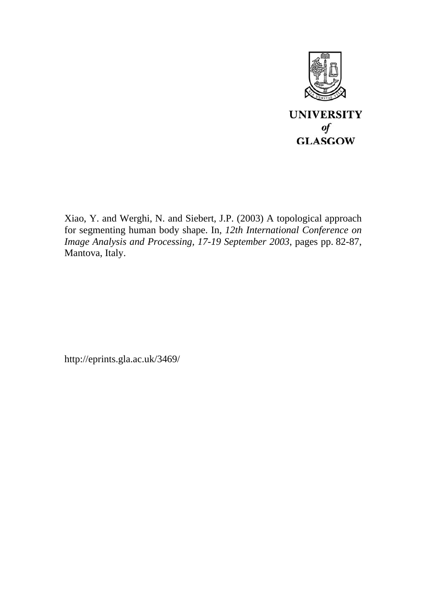

Xiao, Y. and Werghi, N. and Siebert, J.P. (2003) A topological approach for segmenting human body shape. In, *12th International Conference on Image Analysis and Processing, 17-19 September 2003*, pages pp. 82-87, Mantova, Italy.

http://eprints.gla.ac.uk/3469/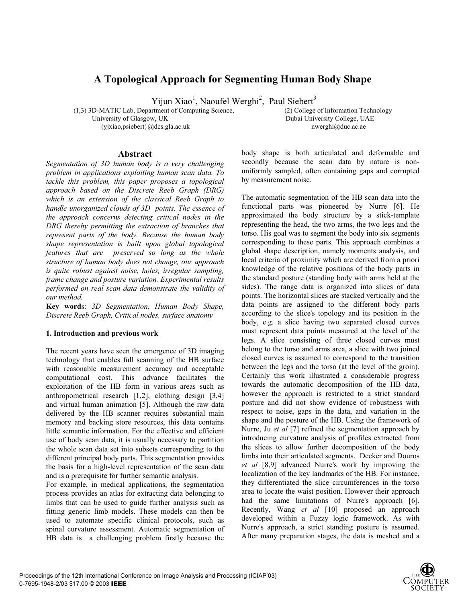# **A Topological Approach for Segmenting Human Body Shape**

Yijun Xiao<sup>1</sup>, Naoufel Werghi<sup>2</sup>, Paul Siebert<sup>3</sup>

(1,3) 3D-MATIC Lab, Department of Computing Science, (2) College of Information Technology University of Glasgow, UK Dubai University College, UAE

{yjxiao,psiebert}@dcs.gla.ac.uk nwerghi@duc.ac.ae

### **Abstract**

*Segmentation of 3D human body is a very challenging problem in applications exploiting human scan data. To tackle this problem, this paper proposes a topological approach based on the Discrete Reeb Graph (DRG) which is an extension of the classical Reeb Graph to handle unorganized clouds of 3D points. The essence of the approach concerns detecting critical nodes in the DRG thereby permitting the extraction of branches that represent parts of the body. Because the human body shape representation is built upon global topological features that are preserved so long as the whole structure of human body does not change, our approach is quite robust against noise, holes, irregular sampling, frame change and posture variation. Experimental results performed on real scan data demonstrate the validity of our method.* 

**Key word**s: *3D Segmentation, Human Body Shape, Discrete Reeb Graph, Critical nodes, surface anatomy* 

#### **1. Introduction and previous work**

The recent years have seen the emergence of 3D imaging technology that enables full scanning of the HB surface with reasonable measurement accuracy and acceptable computational cost. This advance facilitates the exploitation of the HB form in various areas such as anthropometrical research [1,2], clothing design [3,4] and virtual human animation [5]. Although the raw data delivered by the HB scanner requires substantial main memory and backing store resources, this data contains little semantic information. For the effective and efficient use of body scan data, it is usually necessary to partition the whole scan data set into subsets corresponding to the different principal body parts. This segmentation provides the basis for a high-level representation of the scan data and is a prerequisite for further semantic analysis.

For example, in medical applications, the segmentation process provides an atlas for extracting data belonging to limbs that can be used to guide further analysis such as fitting generic limb models. These models can then be used to automate specific clinical protocols, such as spinal curvature assessment. Automatic segmentation of HB data is a challenging problem firstly because the

body shape is both articulated and deformable and secondly because the scan data by nature is nonuniformly sampled, often containing gaps and corrupted by measurement noise.

The automatic segmentation of the HB scan data into the functional parts was pioneered by Nurre [6]. He approximated the body structure by a stick-template representing the head, the two arms, the two legs and the torso. His goal was to segment the body into six segments corresponding to these parts. This approach combines a global shape description, namely moments analysis, and local criteria of proximity which are derived from a priori knowledge of the relative positions of the body parts in the standard posture (standing body with arms held at the sides). The range data is organized into slices of data points. The horizontal slices are stacked vertically and the data points are assigned to the different body parts according to the slice's topology and its position in the body, e.g. a slice having two separated closed curves must represent data points measured at the level of the legs. A slice consisting of three closed curves must belong to the torso and arms area, a slice with two joined closed curves is assumed to correspond to the transition between the legs and the torso (at the level of the groin). Certainly this work illustrated a considerable progress towards the automatic decomposition of the HB data, however the approach is restricted to a strict standard posture and did not show evidence of robustness with respect to noise, gaps in the data, and variation in the shape and the posture of the HB. Using the framework of Nurre, Ju *et al* [7] refined the segmentation approach by introducing curvature analysis of profiles extracted from the slices to allow further decomposition of the body limbs into their articulated segments. Decker and Douros *et al* [8,9] advanced Nurre's work by improving the localization of the key landmarks of the HB. For instance, they differentiated the slice circumferences in the torso area to locate the waist position. However their approach had the same limitations of Nurre's approach [6]. Recently, Wang *et al* [10] proposed an approach developed within a Fuzzy logic framework. As with Nurre's approach, a strict standing posture is assumed. After many preparation stages, the data is meshed and a

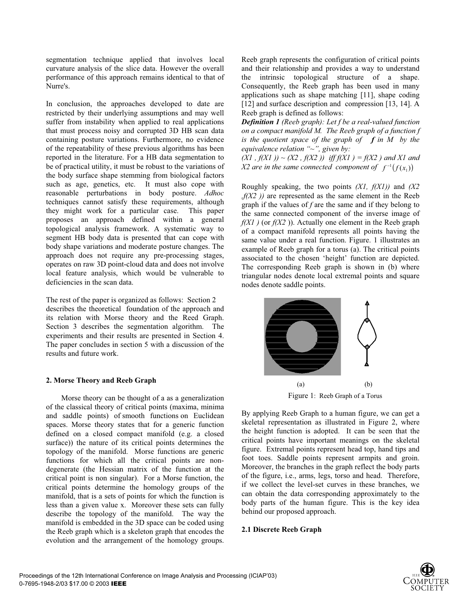segmentation technique applied that involves local curvature analysis of the slice data. However the overall performance of this approach remains identical to that of Nurre's.

In conclusion, the approaches developed to date are restricted by their underlying assumptions and may well suffer from instability when applied to real applications that must process noisy and corrupted 3D HB scan data containing posture variations. Furthermore, no evidence of the repeatability of these previous algorithms has been reported in the literature. For a HB data segmentation to be of practical utility, it must be robust to the variations of the body surface shape stemming from biological factors such as age, genetics, etc. It must also cope with reasonable perturbations in body posture. *Adhoc* techniques cannot satisfy these requirements, although they might work for a particular case. This paper proposes an approach defined within a general topological analysis framework. A systematic way to segment HB body data is presented that can cope with body shape variations and moderate posture changes. The approach does not require any pre-processing stages, operates on raw 3D point-cloud data and does not involve local feature analysis, which would be vulnerable to deficiencies in the scan data.

The rest of the paper is organized as follows: Section 2 describes the theoretical foundation of the approach and its relation with Morse theory and the Reed Graph. Section 3 describes the segmentation algorithm. The experiments and their results are presented in Section 4. The paper concludes in section 5 with a discussion of the results and future work.

#### **2. Morse Theory and Reeb Graph**

 Morse theory can be thought of a as a generalization of the classical theory of critical points (maxima, minima and saddle points) of smooth functions on Euclidean spaces. Morse theory states that for a generic function defined on a closed compact manifold (e.g. a closed surface)) the nature of its critical points determines the topology of the manifold. Morse functions are generic functions for which all the critical points are nondegenerate (the Hessian matrix of the function at the critical point is non singular). For a Morse function, the critical points determine the homology groups of the manifold, that is a sets of points for which the function is less than a given value x. Moreover these sets can fully describe the topology of the manifold. The way the manifold is embedded in the 3D space can be coded using the Reeb graph which is a skeleton graph that encodes the evolution and the arrangement of the homology groups.

Reeb graph represents the configuration of critical points and their relationship and provides a way to understand the intrinsic topological structure of a shape. Consequently, the Reeb graph has been used in many applications such as shape matching [11], shape coding [12] and surface description and compression [13, 14]. A Reeb graph is defined as follows:

*Definition 1 (Reeb graph): Let f be a real-valued function on a compact manifold M. The Reeb graph of a function f is the quotient space of the graph of f in M by the equivalence relation "~", given by:* 

 $(X1, f(X1)) \sim (X2, f(X2))$  iff  $f(X1) = f(X2)$  and X1 and *X2 are in the same connected component of*  $f^{-1}(f(x)_{1})$ 

Roughly speaking, the two points *(X1, f(X1))* and *(X2 ,f(X2)* are represented as the same element in the Reeb graph if the values of *f* are the same and if they belong to the same connected component of the inverse image of  $f(XI)$  (or  $f(X2)$ ). Actually one element in the Reeb graph of a compact manifold represents all points having the same value under a real function. Figure. 1 illustrates an example of Reeb graph for a torus (a). The critical points associated to the chosen 'height' function are depicted. The corresponding Reeb graph is shown in (b) where triangular nodes denote local extremal points and square nodes denote saddle points.



Figure 1: Reeb Graph of a Torus

By applying Reeb Graph to a human figure, we can get a skeletal representation as illustrated in Figure 2, where the height function is adopted. It can be seen that the critical points have important meanings on the skeletal figure. Extremal points represent head top, hand tips and foot toes. Saddle points represent armpits and groin. Moreover, the branches in the graph reflect the body parts of the figure, i.e., arms, legs, torso and head. Therefore, if we collect the level-set curves in these branches, we can obtain the data corresponding approximately to the body parts of the human figure. This is the key idea behind our proposed approach.

#### **2.1 Discrete Reeb Graph**

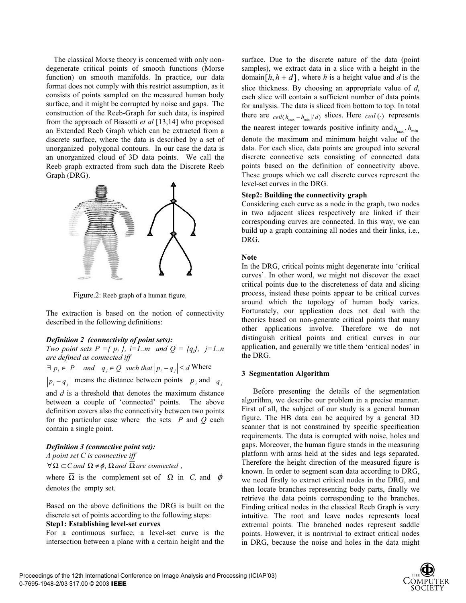The classical Morse theory is concerned with only nondegenerate critical points of smooth functions (Morse function) on smooth manifolds. In practice, our data format does not comply with this restrict assumption, as it consists of points sampled on the measured human body surface, and it might be corrupted by noise and gaps. The construction of the Reeb-Graph for such data, is inspired from the approach of Biasotti *et al* [13,14] who proposed an Extended Reeb Graph which can be extracted from a discrete surface, where the data is described by a set of unorganized polygonal contours. In our case the data is an unorganized cloud of 3D data points. We call the Reeb graph extracted from such data the Discrete Reeb Graph (DRG).



Figure.2: Reeb graph of a human figure.

The extraction is based on the notion of connectivity described in the following definitions:

#### *Definition 2 (connectivity of point sets):*

*Two point sets P ={ p<sub>i</sub> }, i=1..m and Q = {q<sub>i</sub>}, j=1..n are defined as connected iff* 

 $\exists p_i \in P$  *and*  $q_j \in Q$  *such that*  $|p_i - q_j| \le d$  Where

 $|p_i - q_j|$  means the distance between points  $p_i$  and  $q_j$ 

and *d* is a threshold that denotes the maximum distance between a couple of 'connected' points. The above definition covers also the connectivity between two points for the particular case where the sets *P* and *Q* each contain a single point.

#### *Definition 3 (connective point set):*

*A point set C is connective iff*   $\forall \Omega \subset C$  *and*  $\Omega \neq \emptyset$ ,  $\Omega$  *and*  $\overline{\Omega}$  *are connected*,

where  $\overline{\Omega}$  is the complement set of  $\Omega$  in *C*, and  $\phi$ denotes the empty set.

Based on the above definitions the DRG is built on the discrete set of points according to the following steps:

## **Step1: Establishing level-set curves**

For a continuous surface, a level-set curve is the intersection between a plane with a certain height and the

surface. Due to the discrete nature of the data (point samples), we extract data in a slice with a height in the domain $[h, h + d]$ , where *h* is a height value and *d* is the slice thickness. By choosing an appropriate value of *d*, each slice will contain a sufficient number of data points for analysis. The data is sliced from bottom to top. In total there are  $\text{ceil} (\vert h_{\text{max}} - h_{\text{min}} \vert / d)$  slices. Here  $\text{ceil} (\cdot)$  represents the nearest integer towards positive infinity and  $h_{\text{max}}$ ,  $h_{\text{min}}$ denote the maximum and minimum height value of the data. For each slice, data points are grouped into several discrete connective sets consisting of connected data points based on the definition of connectivity above. These groups which we call discrete curves represent the level-set curves in the DRG.

#### **Step2: Building the connectivity graph**

Considering each curve as a node in the graph, two nodes in two adjacent slices respectively are linked if their corresponding curves are connected. In this way, we can build up a graph containing all nodes and their links, i.e., DRG.

#### **Note**

In the DRG, critical points might degenerate into 'critical curves'. In other word, we might not discover the exact critical points due to the discreteness of data and slicing process, instead these points appear to be critical curves around which the topology of human body varies. Fortunately, our application does not deal with the theories based on non-generate critical points that many other applications involve. Therefore we do not distinguish critical points and critical curves in our application, and generally we title them 'critical nodes' in the DRG.

#### **3 Segmentation Algorithm**

 Before presenting the details of the segmentation algorithm, we describe our problem in a precise manner. First of all, the subject of our study is a general human figure. The HB data can be acquired by a general 3D scanner that is not constrained by specific specification requirements. The data is corrupted with noise, holes and gaps. Moreover, the human figure stands in the measuring platform with arms held at the sides and legs separated. Therefore the height direction of the measured figure is known. In order to segment scan data according to DRG, we need firstly to extract critical nodes in the DRG, and then locate branches representing body parts, finally we retrieve the data points corresponding to the branches. Finding critical nodes in the classical Reeb Graph is very intuitive. The root and leave nodes represents local extremal points. The branched nodes represent saddle points. However, it is nontrivial to extract critical nodes in DRG, because the noise and holes in the data might

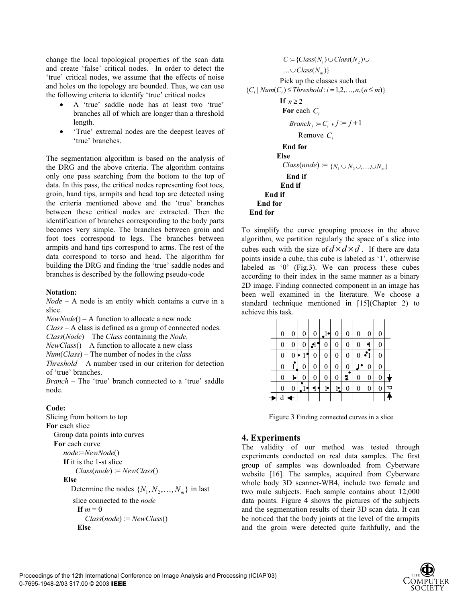change the local topological properties of the scan data and create 'false' critical nodes. In order to detect the 'true' critical nodes, we assume that the effects of noise and holes on the topology are bounded. Thus, we can use the following criteria to identify 'true' critical nodes

- A 'true' saddle node has at least two 'true' branches all of which are longer than a threshold length.
- 'True' extremal nodes are the deepest leaves of 'true' branches.

The segmentation algorithm is based on the analysis of the DRG and the above criteria. The algorithm contains only one pass searching from the bottom to the top of data. In this pass, the critical nodes representing foot toes, groin, hand tips, armpits and head top are detected using the criteria mentioned above and the 'true' branches between these critical nodes are extracted. Then the identification of branches corresponding to the body parts becomes very simple. The branches between groin and foot toes correspond to legs. The branches between armpits and hand tips correspond to arms. The rest of the data correspond to torso and head. The algorithm for building the DRG and finding the 'true' saddle nodes and branches is described by the following pseudo-code

#### **Notation:**

*Node* – A node is an entity which contains a curve in a slice.

*NewNode*() – A function to allocate a new node

*Class* – A class is defined as a group of connected nodes.

*Class*(*Node*) – The *Class* containing the *Node*.

*NewClass*() – A function to allocate a new class

*Num*(*Class*) – The number of nodes in the *class*

*Threshold* – A number used in our criterion for detection of 'true' branches.

*Branch* – The 'true' branch connected to a 'true' saddle node.

## **Code:**

Slicing from bottom to top **For** each slice Group data points into curves **For** each curve *node*:=*NewNode*()  **If** it is the 1-st slice *Class*(*node*) := *NewClass*() **Else** Determine the nodes  $\{N_1, N_2, \ldots, N_m\}$  in last slice connected to the *node* **If**  $m = 0$  *Class*(*node*) := *NewClass*() **Else**



```
...∪ Class(N_m)}
               C := \{ Class(N_1) \cup Class(N_2) \cup Pick up the classes such that
{C_i | Num(C_i) ≤ Threshold : i = 1,2, ..., n, (n ≤ m)}
             If n \geq 2For each C<sub>i</sub>
                 Branch<sub>i</sub> := C_i, j := j +1
                     Remove Ci
              End for 
            Else
              Class(node) := \{ N_1 \cup N_2 \cup \ldots \cup N_m \}End if 
               End if 
        End if 
     End for 
 End for
```
To simplify the curve grouping process in the above algorithm, we partition regularly the space of a slice into cubes each with the size of  $d \times d \times d$ . If there are data points inside a cube, this cube is labeled as '1', otherwise labeled as '0' (Fig.3). We can process these cubes according to their index in the same manner as a binary 2D image. Finding connected component in an image has been well examined in the literature. We choose a standard technique mentioned in [15](Chapter 2) to achieve this task.

| 0 | 0  | 0        | 0            | $\lfloor .1 \bullet \rfloor$ | $\boldsymbol{0}$ | 0              | 0                | 0            | $\boldsymbol{0}$ |   |
|---|----|----------|--------------|------------------------------|------------------|----------------|------------------|--------------|------------------|---|
| 0 | 0  | 0        | .º1 °        | $\theta$                     | $\boldsymbol{0}$ | $\mathbf{0}$   | $\boldsymbol{0}$ | 1            | 0                |   |
| 0 | 0  | 11       | $\mathbf{0}$ | $\boldsymbol{0}$             | $\mathbf{0}$     | $\mathbf{0}$   | $\mathbf{0}$     | $\cdot_1$    | 0                |   |
| 0 |    | 0        | 0            | $\boldsymbol{0}$             | 0                | 0              | J'               | 0            | 0                |   |
| 0 | ŀ۱ | $\theta$ | 0            | $\boldsymbol{0}$             | $\mathbf{0}$     | 1              | $\boldsymbol{0}$ | 0            | 0                |   |
| 0 | 0  |          | 1            | $1^{\bullet}$                | $\mathbf{P}$     | $\overline{0}$ | $\mathbf{0}$     | $\mathbf{0}$ | $\overline{0}$   | ₫ |
| d |    |          |              |                              |                  |                |                  |              |                  |   |

Figure 3 Finding connected curves in a slice

## **4. Experiments**

The validity of our method was tested through experiments conducted on real data samples. The first group of samples was downloaded from Cyberware website [16]. The samples, acquired from Cyberware whole body 3D scanner-WB4, include two female and two male subjects. Each sample contains about 12,000 data points. Figure 4 shows the pictures of the subjects and the segmentation results of their 3D scan data. It can be noticed that the body joints at the level of the armpits and the groin were detected quite faithfully, and the

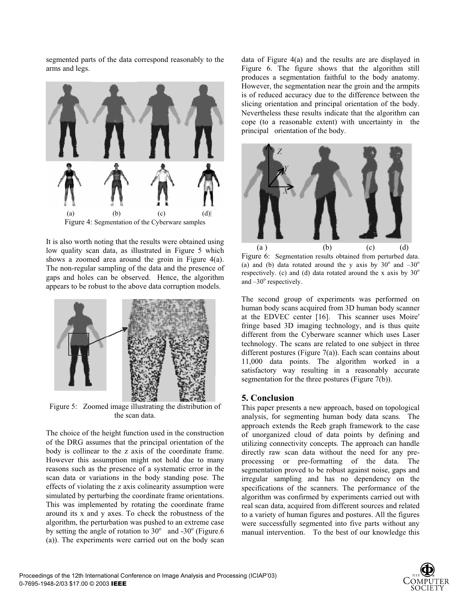segmented parts of the data correspond reasonably to the arms and legs.



It is also worth noting that the results were obtained using low quality scan data, as illustrated in Figure 5 which shows a zoomed area around the groin in Figure 4(a). The non-regular sampling of the data and the presence of gaps and holes can be observed. Hence, the algorithm appears to be robust to the above data corruption models.



Figure 5: Zoomed image illustrating the distribution of the scan data.

The choice of the height function used in the construction of the DRG assumes that the principal orientation of the body is collinear to the z axis of the coordinate frame. However this assumption might not hold due to many reasons such as the presence of a systematic error in the scan data or variations in the body standing pose. The effects of violating the z axis colinearity assumption were simulated by perturbing the coordinate frame orientations. This was implemented by rotating the coordinate frame around its x and y axes. To check the robustness of the algorithm, the perturbation was pushed to an extreme case by setting the angle of rotation to  $30^{\circ}$  and -30° (Figure.6) (a)). The experiments were carried out on the body scan

data of Figure 4(a) and the results are are displayed in Figure 6. The figure shows that the algorithm still produces a segmentation faithful to the body anatomy. However, the segmentation near the groin and the armpits is of reduced accuracy due to the difference between the slicing orientation and principal orientation of the body. Nevertheless these results indicate that the algorithm can cope (to a reasonable extent) with uncertainty in the principal orientation of the body.



Figure 6: Segmentation results obtained from perturbed data. (a) and (b) data rotated around the y axis by  $30^{\circ}$  and  $-30^{\circ}$ respectively. (c) and (d) data rotated around the x axis by  $30^{\circ}$ and  $-30^\circ$  respectively.

The second group of experiments was performed on human body scans acquired from 3D human body scanner at the EDVEC center [16]. This scanner uses Moire' fringe based 3D imaging technology, and is thus quite different from the Cyberware scanner which uses Laser technology. The scans are related to one subject in three different postures (Figure 7(a)). Each scan contains about 11,000 data points. The algorithm worked in a satisfactory way resulting in a reasonably accurate segmentation for the three postures (Figure 7(b)).

## **5. Conclusion**

This paper presents a new approach, based on topological analysis, for segmenting human body data scans. The approach extends the Reeb graph framework to the case of unorganized cloud of data points by defining and utilizing connectivity concepts. The approach can handle directly raw scan data without the need for any preprocessing or pre-formatting of the data. The segmentation proved to be robust against noise, gaps and irregular sampling and has no dependency on the specifications of the scanners. The performance of the algorithm was confirmed by experiments carried out with real scan data, acquired from different sources and related to a variety of human figures and postures. All the figures were successfully segmented into five parts without any manual intervention. To the best of our knowledge this

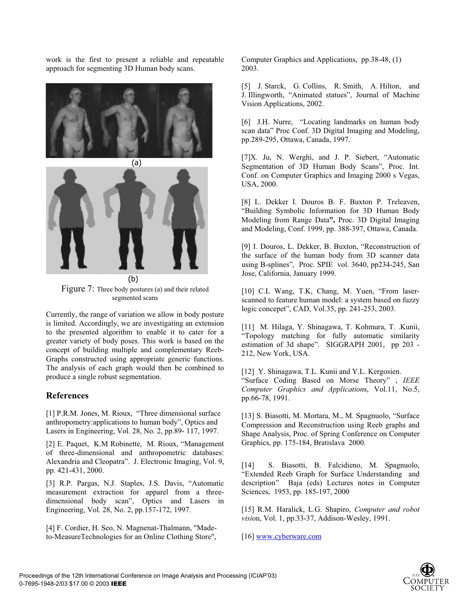work is the first to present a reliable and repeatable approach for segmenting 3D Human body scans.





(b) Figure 7: Three body postures (a) and their related segmented scans

Currently, the range of variation we allow in body posture is limited. Accordingly, we are investigating an extension to the presented algorithm to enable it to cater for a greater variety of body poses. This work is based on the concept of building multiple and complementary Reeb-Graphs constructed using appropriate generic functions. The analysis of each graph would then be combined to produce a single robust segmentation.

## **References**

[1] P.R.M. Jones, M. Rioux, "Three dimensional surface anthropometry:applications to human body", Optics and Lasers in Engineering, Vol. 28, No. 2, pp.89- 117, 1997.

[2] E. Paquet, K.M Robinette, M. Rioux, "Management of three-dimensional and anthropometric databases: Alexandria and Cleopatra". J. Electronic Imaging, Vol. 9, pp. 421-431, 2000.

[3] R.P. Pargas, N.J. Staples, J.S. Davis, "Automatic measurement extraction for apparel from a threedimensional body scan", Optics and Lasers in Engineering, Vol. 28, No. 2, pp.157-172, 1997.

[4] F. Cordier, H. Seo, N. Magnenat-Thalmann, "Madeto-MeasureTechnologies for an Online Clothing Store", Computer Graphics and Applications, pp.38-48, (1) 2003.

[5] J. Starck, G. Collins, R. Smith, A. Hilton, and J. Illingworth, "Animated statues", Journal of Machine Vision Applications, 2002.

[6] J.H. Nurre, "Locating landmarks on human body scan data" Proc Conf. 3D Digital Imaging and Modeling, pp.289-295, Ottawa, Canada, 1997.

[7]X. Ju, N. Werghi, and J. P. Siebert, "Automatic Segmentation of 3D Human Body Scans", Proc. Int. Conf. on Computer Graphics and Imaging 2000 s Vegas, USA, 2000.

[8] L. Dekker I. Douros B. F. Buxton P. Treleaven, "Building Symbolic Information for 3D Human Body Modeling from Range Data**",** Proc. 3D Digital Imaging and Modeling, Conf. 1999, pp. 388-397, Ottawa, Canada.

[9] I. Douros, L. Dekker, B. Buxton, "Reconstruction of the surface of the human body from 3D scanner data using B-splines", Proc. SPIE vol. 3640, pp234-245, San Jose, California, January 1999.

[10] C.L Wang, T.K, Chang, M. Yuen, "From laserscanned to feature human model: a system based on fuzzy logic concepet", CAD, Vol.35, pp. 241-253, 2003.

[11] M. Hilaga, Y. Shinagawa, T. Kohmura, T. .Kunii, "Topology matching for fully automatic similarity estimation of 3d shape"*.* SIGGRAPH 2001, pp 203 - 212, New York, USA.

[12] Y. Shinagawa, T.L. Kunii and Y.L. Kergosien. "Surface Coding Based on Morse Theory" , *IEEE Computer Graphics and Application*s, Vol.11, No.5, pp.66-78, 1991.

[13] S. Biasotti, M. Mortara, M., M. Spagnuolo, "Surface Compression and Reconstruction using Reeb graphs and Shape Analysis, Proc. of Spring Conference on Computer Graphics, pp. 175-184, Bratislava 2000.

[14] S. Biasotti, B. Falcidieno, M. Spagnuolo, "Extended Reeb Graph for Surface Understanding and description" Baja (eds) Lectures notes in Computer Sciences, 1953, pp. 185-197, 2000

[15] R.M. Haralick, L.G. Shapiro, *Computer and robot visio*n, Vol. 1, pp.33-37, Addison-Wesley, 1991.

[16] www.cyberware.com